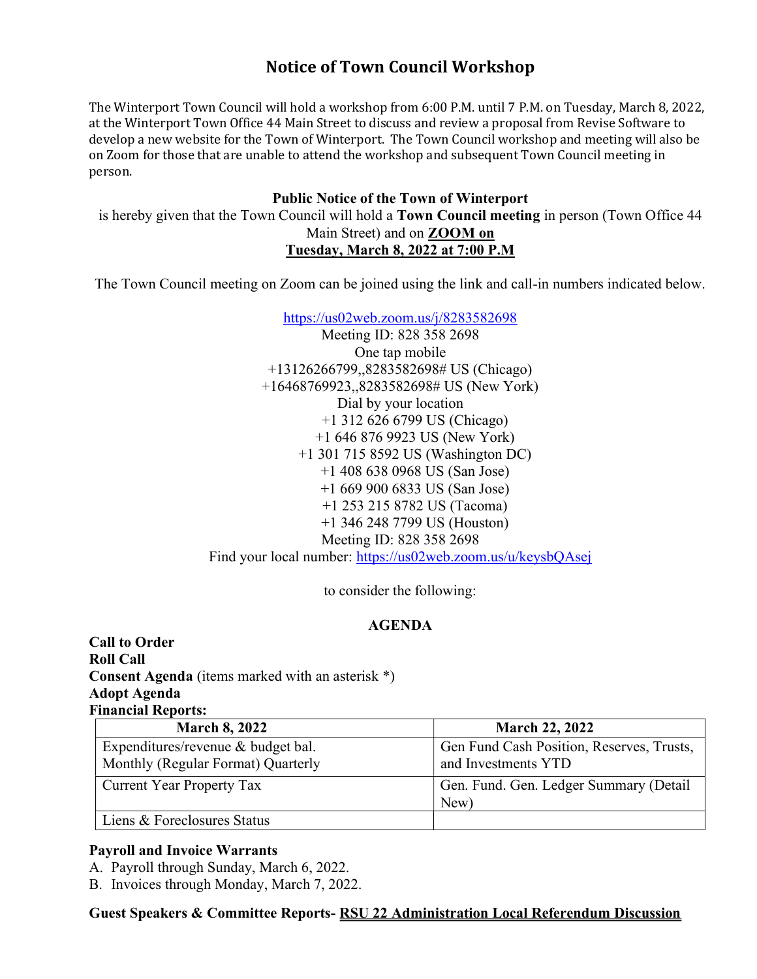# Notice of Town Council Workshop

The Winterport Town Council will hold a workshop from 6:00 P.M. until 7 P.M. on Tuesday, March 8, 2022, at the Winterport Town Office 44 Main Street to discuss and review a proposal from Revise Software to develop a new website for the Town of Winterport. The Town Council workshop and meeting will also be on Zoom for those that are unable to attend the workshop and subsequent Town Council meeting in person.

# Public Notice of the Town of Winterport

is hereby given that the Town Council will hold a Town Council meeting in person (Town Office 44 Main Street) and on ZOOM on Tuesday, March 8, 2022 at 7:00 P.M

The Town Council meeting on Zoom can be joined using the link and call-in numbers indicated below.

https://us02web.zoom.us/j/8283582698

Meeting ID: 828 358 2698 One tap mobile +13126266799,,8283582698# US (Chicago) +16468769923,,8283582698# US (New York) Dial by your location +1 312 626 6799 US (Chicago) +1 646 876 9923 US (New York) +1 301 715 8592 US (Washington DC) +1 408 638 0968 US (San Jose) +1 669 900 6833 US (San Jose) +1 253 215 8782 US (Tacoma) +1 346 248 7799 US (Houston) Meeting ID: 828 358 2698 Find your local number: https://us02web.zoom.us/u/keysbQAsej

to consider the following:

# AGENDA

Call to Order Roll Call Consent Agenda (items marked with an asterisk \*) Adopt Agenda Financial Reports:

| <b>March 8, 2022</b>               | <b>March 22, 2022</b>                     |
|------------------------------------|-------------------------------------------|
| Expenditures/revenue & budget bal. | Gen Fund Cash Position, Reserves, Trusts, |
| Monthly (Regular Format) Quarterly | and Investments YTD                       |
| <b>Current Year Property Tax</b>   | Gen. Fund. Gen. Ledger Summary (Detail    |
|                                    | New)                                      |
| Liens & Foreclosures Status        |                                           |

## Payroll and Invoice Warrants

A. Payroll through Sunday, March 6, 2022.

B. Invoices through Monday, March 7, 2022.

Guest Speakers & Committee Reports- RSU 22 Administration Local Referendum Discussion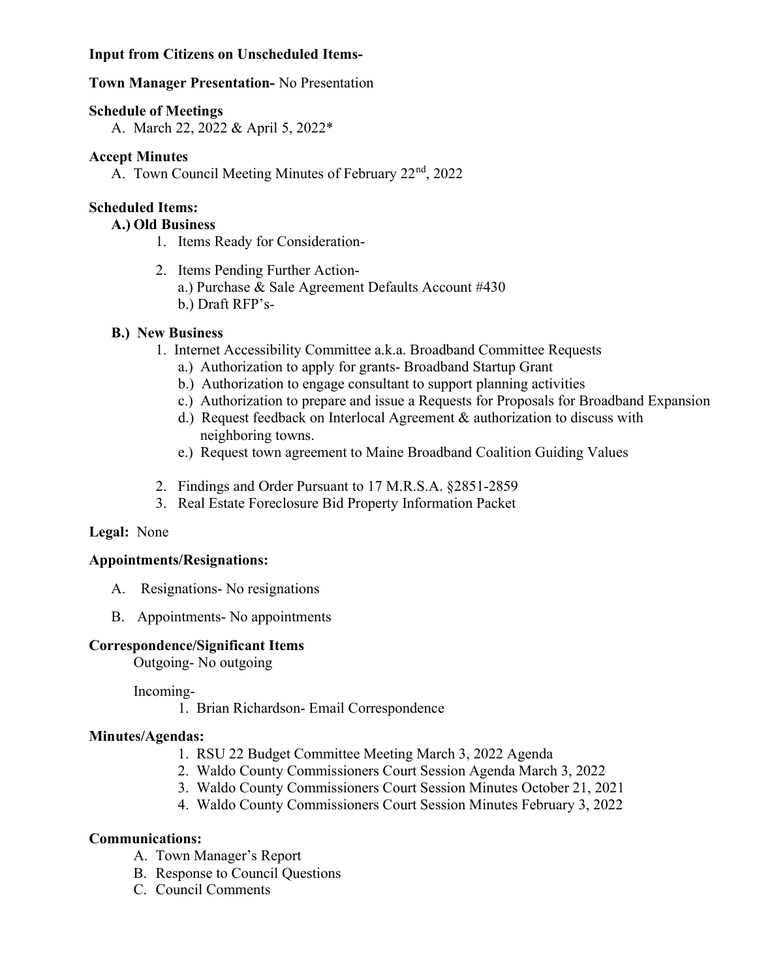# Input from Citizens on Unscheduled Items-

## Town Manager Presentation- No Presentation

## Schedule of Meetings

A. March 22, 2022 & April 5, 2022\*

# Accept Minutes

A. Town Council Meeting Minutes of February 22<sup>nd</sup>, 2022

# Scheduled Items:

## A.) Old Business

- 1. Items Ready for Consideration-
- 2. Items Pending Further Actiona.) Purchase & Sale Agreement Defaults Account #430 b.) Draft RFP's-

# B.) New Business

- 1. Internet Accessibility Committee a.k.a. Broadband Committee Requests
	- a.) Authorization to apply for grants- Broadband Startup Grant
	- b.) Authorization to engage consultant to support planning activities
	- c.) Authorization to prepare and issue a Requests for Proposals for Broadband Expansion
	- d.) Request feedback on Interlocal Agreement & authorization to discuss with neighboring towns.
	- e.) Request town agreement to Maine Broadband Coalition Guiding Values
- 2. Findings and Order Pursuant to 17 M.R.S.A. §2851-2859
- 3. Real Estate Foreclosure Bid Property Information Packet

# Legal: None

## Appointments/Resignations:

- A. Resignations- No resignations
- B. Appointments- No appointments

## Correspondence/Significant Items

Outgoing- No outgoing

Incoming-

1. Brian Richardson- Email Correspondence

## Minutes/Agendas:

- 1. RSU 22 Budget Committee Meeting March 3, 2022 Agenda
- 2. Waldo County Commissioners Court Session Agenda March 3, 2022
- 3. Waldo County Commissioners Court Session Minutes October 21, 2021
- 4. Waldo County Commissioners Court Session Minutes February 3, 2022

## Communications:

- A. Town Manager's Report
- B. Response to Council Questions
- C. Council Comments